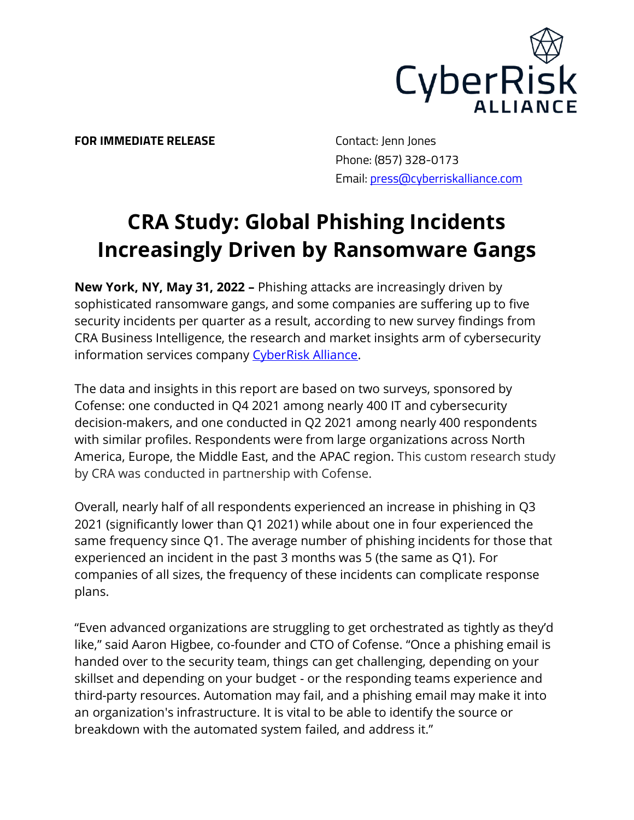

**FOR IMMEDIATE RELEASE** Contact: Jenn Jones

 Phone: (857) 328-0173 Email: [press@cyberriskalliance.com](mailto:press@cyberriskalliance.com)

## **CRA Study: Global Phishing Incidents Increasingly Driven by Ransomware Gangs**

**New York, NY, May 31, 2022 –** Phishing attacks are increasingly driven by sophisticated ransomware gangs, and some companies are suffering up to five security incidents per quarter as a result, according to new survey findings from CRA Business Intelligence, the research and market insights arm of cybersecurity information services company [CyberRisk Alliance.](https://www.cyberriskalliance.com/)

The data and insights in this report are based on two surveys, sponsored by Cofense: one conducted in Q4 2021 among nearly 400 IT and cybersecurity decision-makers, and one conducted in Q2 2021 among nearly 400 respondents with similar profiles. Respondents were from large organizations across North America, Europe, the Middle East, and the APAC region. This custom research study by CRA was conducted in partnership with Cofense.

Overall, nearly half of all respondents experienced an increase in phishing in Q3 2021 (significantly lower than Q1 2021) while about one in four experienced the same frequency since Q1. The average number of phishing incidents for those that experienced an incident in the past 3 months was 5 (the same as Q1). For companies of all sizes, the frequency of these incidents can complicate response plans.

"Even advanced organizations are struggling to get orchestrated as tightly as they'd like," said Aaron Higbee, co-founder and CTO of Cofense. "Once a phishing email is handed over to the security team, things can get challenging, depending on your skillset and depending on your budget - or the responding teams experience and third-party resources. Automation may fail, and a phishing email may make it into an organization's infrastructure. It is vital to be able to identify the source or breakdown with the automated system failed, and address it."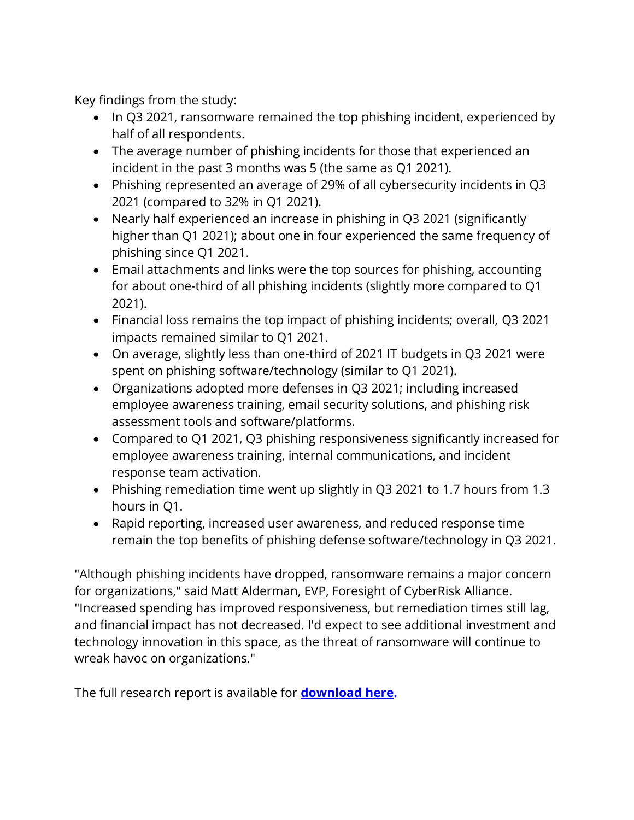Key findings from the study:

- In Q3 2021, ransomware remained the top phishing incident, experienced by half of all respondents.
- The average number of phishing incidents for those that experienced an incident in the past 3 months was 5 (the same as Q1 2021).
- Phishing represented an average of 29% of all cybersecurity incidents in Q3 2021 (compared to 32% in Q1 2021).
- Nearly half experienced an increase in phishing in Q3 2021 (significantly higher than Q1 2021); about one in four experienced the same frequency of phishing since Q1 2021.
- Email attachments and links were the top sources for phishing, accounting for about one-third of all phishing incidents (slightly more compared to Q1 2021).
- Financial loss remains the top impact of phishing incidents; overall, Q3 2021 impacts remained similar to Q1 2021.
- On average, slightly less than one-third of 2021 IT budgets in Q3 2021 were spent on phishing software/technology (similar to Q1 2021).
- Organizations adopted more defenses in Q3 2021; including increased employee awareness training, email security solutions, and phishing risk assessment tools and software/platforms.
- Compared to Q1 2021, Q3 phishing responsiveness significantly increased for employee awareness training, internal communications, and incident response team activation.
- Phishing remediation time went up slightly in Q3 2021 to 1.7 hours from 1.3 hours in Q1.
- Rapid reporting, increased user awareness, and reduced response time remain the top benefits of phishing defense software/technology in Q3 2021.

"Although phishing incidents have dropped, ransomware remains a major concern for organizations," said Matt Alderman, EVP, Foresight of CyberRisk Alliance. "Increased spending has improved responsiveness, but remediation times still lag, and financial impact has not decreased. I'd expect to see additional investment and technology innovation in this space, as the threat of ransomware will continue to wreak havoc on organizations."

The full research report is available for **[download here.](https://www.scmagazine.com/whitepaper/cra-study-global-phishing-incidents-increasingly-driven-by-ransomware-gangs)**